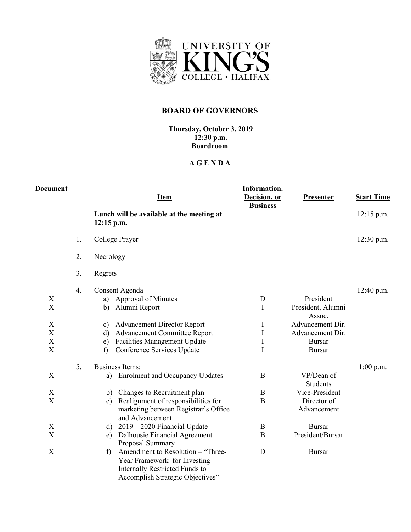

## **BOARD OF GOVERNORS**

## **Thursday, October 3, 2019 12:30 p.m. Boardroom**

## **A G E N D A**

| <b>Document</b>                                                                                    |    | <b>Item</b>                                                                                                                                                                                                                                                   | Information.<br>Decision, or<br><b>Business</b> | <b>Presenter</b>                                                                                                   | <b>Start Time</b> |
|----------------------------------------------------------------------------------------------------|----|---------------------------------------------------------------------------------------------------------------------------------------------------------------------------------------------------------------------------------------------------------------|-------------------------------------------------|--------------------------------------------------------------------------------------------------------------------|-------------------|
|                                                                                                    |    | Lunch will be available at the meeting at<br>$12:15$ p.m.                                                                                                                                                                                                     |                                                 |                                                                                                                    | $12:15$ p.m.      |
|                                                                                                    | 1. | College Prayer                                                                                                                                                                                                                                                |                                                 |                                                                                                                    | 12:30 p.m.        |
|                                                                                                    | 2. | Necrology                                                                                                                                                                                                                                                     |                                                 |                                                                                                                    |                   |
|                                                                                                    | 3. | Regrets                                                                                                                                                                                                                                                       |                                                 |                                                                                                                    |                   |
| X<br>$\boldsymbol{\mathrm{X}}$<br>X<br>$\boldsymbol{\mathrm{X}}$<br>X<br>$\boldsymbol{\mathrm{X}}$ | 4. | Consent Agenda<br>a) Approval of Minutes<br>Alumni Report<br>b)<br><b>Advancement Director Report</b><br>c)<br><b>Advancement Committee Report</b><br>$\mathbf{d}$<br><b>Facilities Management Update</b><br>e)<br>Conference Services Update<br>$\mathbf{f}$ | D<br>I<br>I<br>$\rm I$<br>$\bf I$<br>I          | President<br>President, Alumni<br>Assoc.<br>Advancement Dir.<br>Advancement Dir.<br><b>Bursar</b><br><b>Bursar</b> | 12:40 p.m.        |
| X                                                                                                  | 5. | <b>Business Items:</b><br><b>Enrolment and Occupancy Updates</b><br>a)                                                                                                                                                                                        | B                                               | VP/Dean of<br><b>Students</b>                                                                                      | $1:00$ p.m.       |
| X                                                                                                  |    | b) Changes to Recruitment plan                                                                                                                                                                                                                                | B                                               | Vice-President                                                                                                     |                   |
| X                                                                                                  |    | Realignment of responsibilities for<br>c)<br>marketing between Registrar's Office<br>and Advancement                                                                                                                                                          | B                                               | Director of<br>Advancement                                                                                         |                   |
| $\boldsymbol{\mathrm{X}}$                                                                          |    | d) $2019 - 2020$ Financial Update                                                                                                                                                                                                                             | $\mathbf B$                                     | <b>Bursar</b>                                                                                                      |                   |
| X                                                                                                  |    | Dalhousie Financial Agreement<br>e)<br>Proposal Summary                                                                                                                                                                                                       | B                                               | President/Bursar                                                                                                   |                   |
| $\boldsymbol{\mathrm{X}}$                                                                          |    | Amendment to Resolution - "Three-<br>$\mathbf{f}$<br>Year Framework for Investing<br><b>Internally Restricted Funds to</b><br>Accomplish Strategic Objectives"                                                                                                | D                                               | <b>Bursar</b>                                                                                                      |                   |